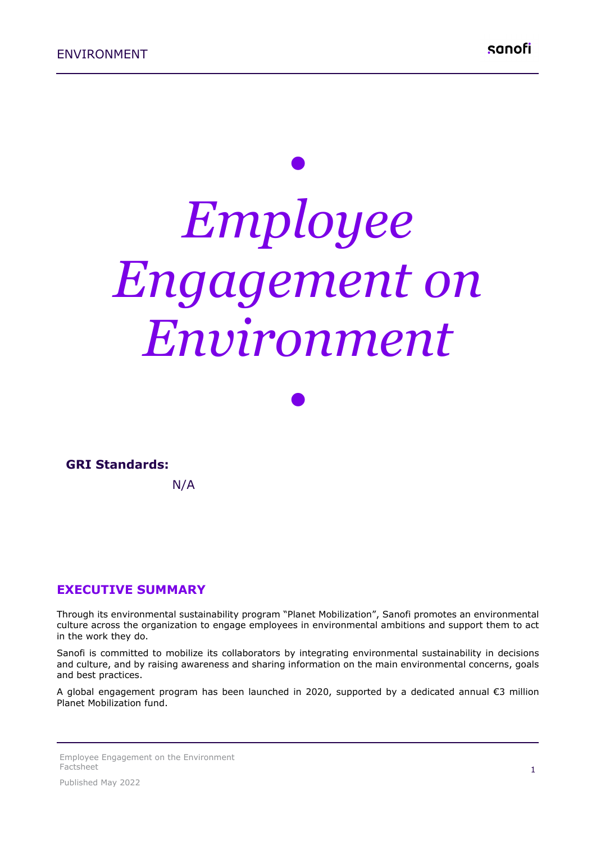# *• Employee Engagement on Environment*

*•*



N/A

#### **EXECUTIVE SUMMARY**

Through its environmental sustainability program "Planet Mobilization", Sanofi promotes an environmental culture across the organization to engage employees in environmental ambitions and support them to act in the work they do.

Sanofi is committed to mobilize its collaborators by integrating environmental sustainability in decisions and culture, and by raising awareness and sharing information on the main environmental concerns, goals and best practices.

A global engagement program has been launched in 2020, supported by a dedicated annual €3 million Planet Mobilization fund.

Employee Engagement on the Environment Factsheet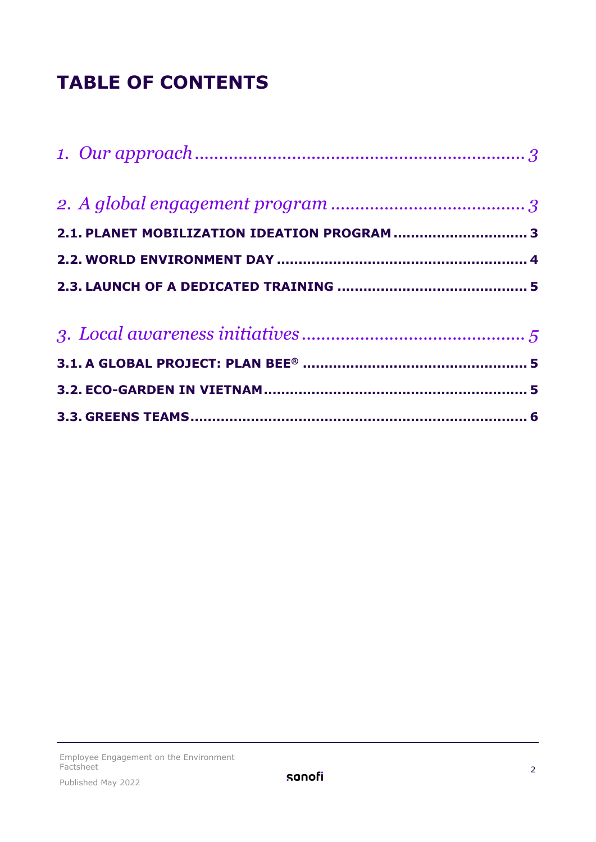## **TABLE OF CONTENTS**

| 2.1. PLANET MOBILIZATION IDEATION PROGRAM  3 |  |
|----------------------------------------------|--|
|                                              |  |
|                                              |  |
|                                              |  |
|                                              |  |
|                                              |  |
|                                              |  |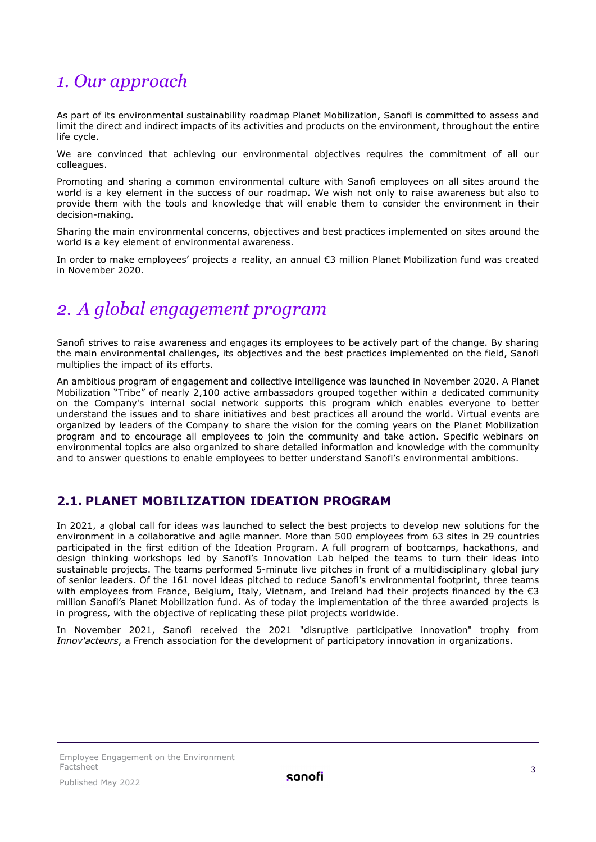## <span id="page-2-0"></span>*1. Our approach*

As part of its environmental sustainability roadmap Planet Mobilization, Sanofi is committed to assess and limit the direct and indirect impacts of its activities and products on the environment, throughout the entire life cycle.

We are convinced that achieving our environmental objectives requires the commitment of all our colleagues.

Promoting and sharing a common environmental culture with Sanofi employees on all sites around the world is a key element in the success of our roadmap. We wish not only to raise awareness but also to provide them with the tools and knowledge that will enable them to consider the environment in their decision-making.

Sharing the main environmental concerns, objectives and best practices implemented on sites around the world is a key element of environmental awareness.

In order to make employees' projects a reality, an annual €3 million Planet Mobilization fund was created in November 2020.

## <span id="page-2-1"></span>*2. A global engagement program*

Sanofi strives to raise awareness and engages its employees to be actively part of the change. By sharing the main environmental challenges, its objectives and the best practices implemented on the field, Sanofi multiplies the impact of its efforts.

An ambitious program of engagement and collective intelligence was launched in November 2020. A Planet Mobilization "Tribe" of nearly 2,100 active ambassadors grouped together within a dedicated community on the Company's internal social network supports this program which enables everyone to better understand the issues and to share initiatives and best practices all around the world. Virtual events are organized by leaders of the Company to share the vision for the coming years on the Planet Mobilization program and to encourage all employees to join the community and take action. Specific webinars on environmental topics are also organized to share detailed information and knowledge with the community and to answer questions to enable employees to better understand Sanofi's environmental ambitions.

#### <span id="page-2-2"></span>**2.1. PLANET MOBILIZATION IDEATION PROGRAM**

In 2021, a global call for ideas was launched to select the best projects to develop new solutions for the environment in a collaborative and agile manner. More than 500 employees from 63 sites in 29 countries participated in the first edition of the Ideation Program. A full program of bootcamps, hackathons, and design thinking workshops led by Sanofi's Innovation Lab helped the teams to turn their ideas into sustainable projects. The teams performed 5-minute live pitches in front of a multidisciplinary global jury of senior leaders. Of the 161 novel ideas pitched to reduce Sanofi's environmental footprint, three teams with employees from France, Belgium, Italy, Vietnam, and Ireland had their projects financed by the  $\epsilon$ 3 million Sanofi's Planet Mobilization fund. As of today the implementation of the three awarded projects is in progress, with the objective of replicating these pilot projects worldwide.

In November 2021, Sanofi received the 2021 "disruptive participative innovation" trophy from *Innov'acteurs*, a French association for the development of participatory innovation in organizations.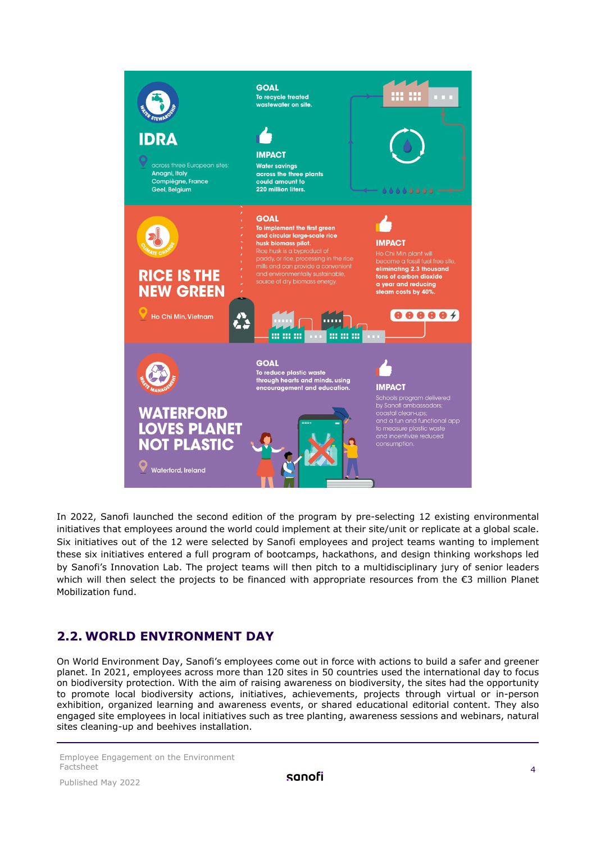

In 2022, Sanofi launched the second edition of the program by pre-selecting 12 existing environmental initiatives that employees around the world could implement at their site/unit or replicate at a global scale. Six initiatives out of the 12 were selected by Sanofi employees and project teams wanting to implement these six initiatives entered a full program of bootcamps, hackathons, and design thinking workshops led by Sanofi's Innovation Lab. The project teams will then pitch to a multidisciplinary jury of senior leaders which will then select the projects to be financed with appropriate resources from the €3 million Planet Mobilization fund.

#### <span id="page-3-0"></span>**2.2. WORLD ENVIRONMENT DAY**

On World Environment Day, Sanofi's employees come out in force with actions to build a safer and greener planet. In 2021, employees across more than 120 sites in 50 countries used the international day to focus on biodiversity protection. With the aim of raising awareness on biodiversity, the sites had the opportunity to promote local biodiversity actions, initiatives, achievements, projects through virtual or in-person exhibition, organized learning and awareness events, or shared educational editorial content. They also engaged site employees in local initiatives such as tree planting, awareness sessions and webinars, natural sites cleaning-up and beehives installation.

Employee Engagement on the Environment Factsheet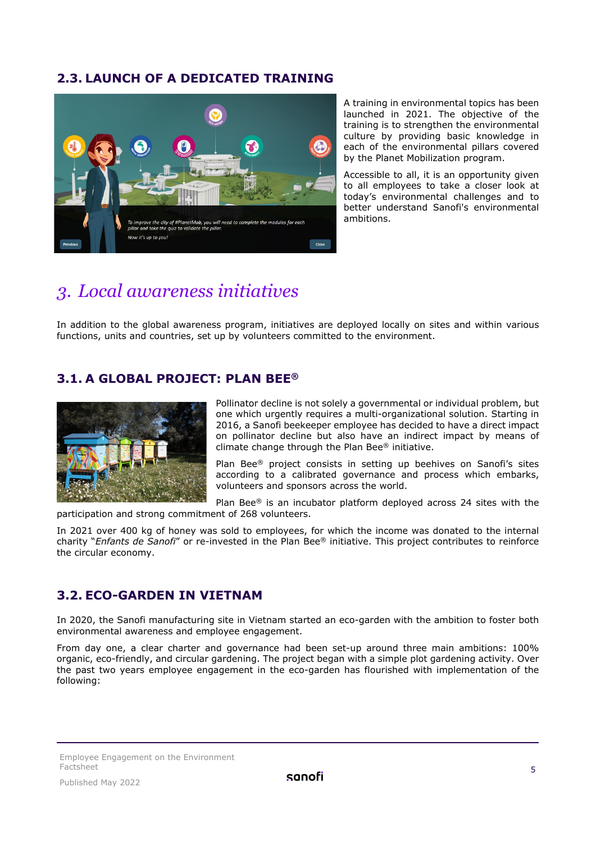#### <span id="page-4-0"></span>**2.3. LAUNCH OF A DEDICATED TRAINING**



A training in environmental topics has been launched in 2021. The objective of the training is to strengthen the environmental culture by providing basic knowledge in each of the environmental pillars covered by the Planet Mobilization program.

Accessible to all, it is an opportunity given to all employees to take a closer look at today's environmental challenges and to better understand Sanofi's environmental ambitions.

## <span id="page-4-1"></span>*3. Local awareness initiatives*

In addition to the global awareness program, initiatives are deployed locally on sites and within various functions, units and countries, set up by volunteers committed to the environment.

#### <span id="page-4-2"></span>**3.1. A GLOBAL PROJECT: PLAN BEE®**



Pollinator decline is not solely a governmental or individual problem, but one which urgently requires a multi-organizational solution. Starting in 2016, a Sanofi beekeeper employee has decided to have a direct impact on pollinator decline but also have an indirect impact by means of climate change through the Plan Bee® initiative.

Plan Bee® project consists in setting up beehives on Sanofi's sites according to a calibrated governance and process which embarks, volunteers and sponsors across the world.

Plan Bee® is an incubator platform deployed across 24 sites with the participation and strong commitment of 268 volunteers.

In 2021 over 400 kg of honey was sold to employees, for which the income was donated to the internal charity "*Enfants de Sanofi*" or re-invested in the Plan Bee® initiative. This project contributes to reinforce the circular economy.

#### <span id="page-4-3"></span>**3.2. ECO-GARDEN IN VIETNAM**

In 2020, the Sanofi manufacturing site in Vietnam started an eco-garden with the ambition to foster both environmental awareness and employee engagement.

From day one, a clear charter and governance had been set-up around three main ambitions: 100% organic, eco-friendly, and circular gardening. The project began with a simple plot gardening activity. Over the past two years employee engagement in the eco-garden has flourished with implementation of the following: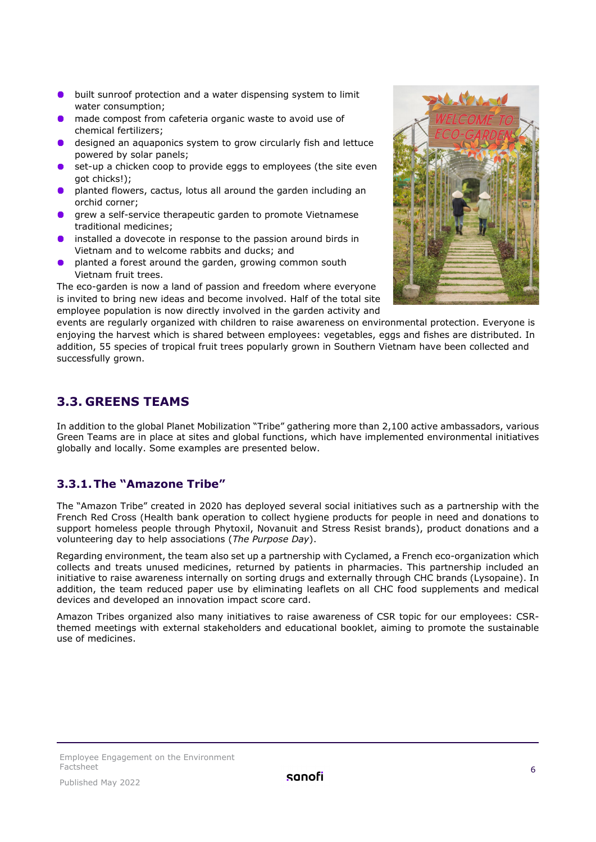- $\bullet$ built sunroof protection and a water dispensing system to limit water consumption;
- made compost from cafeteria organic waste to avoid use of chemical fertilizers;
- designed an aquaponics system to grow circularly fish and lettuce powered by solar panels;
- set-up a chicken coop to provide eggs to employees (the site even got chicks!);
- planted flowers, cactus, lotus all around the garden including an orchid corner;
- grew a self-service therapeutic garden to promote Vietnamese traditional medicines;
- installed a dovecote in response to the passion around birds in Vietnam and to welcome rabbits and ducks; and
- planted a forest around the garden, growing common south Vietnam fruit trees.

The eco-garden is now a land of passion and freedom where everyone is invited to bring new ideas and become involved. Half of the total site employee population is now directly involved in the garden activity and



events are regularly organized with children to raise awareness on environmental protection. Everyone is enjoying the harvest which is shared between employees: vegetables, eggs and fishes are distributed. In addition, 55 species of tropical fruit trees popularly grown in Southern Vietnam have been collected and successfully grown.

#### <span id="page-5-0"></span>**3.3. GREENS TEAMS**

In addition to the global Planet Mobilization "Tribe" gathering more than 2,100 active ambassadors, various Green Teams are in place at sites and global functions, which have implemented environmental initiatives globally and locally. Some examples are presented below.

#### **3.3.1.The "Amazone Tribe"**

The "Amazon Tribe" created in 2020 has deployed several social initiatives such as a partnership with the French Red Cross (Health bank operation to collect hygiene products for people in need and donations to support homeless people through Phytoxil, Novanuit and Stress Resist brands), product donations and a volunteering day to help associations (*The Purpose Day*).

Regarding environment, the team also set up a partnership with Cyclamed, a French eco-organization which collects and treats unused medicines, returned by patients in pharmacies. This partnership included an initiative to raise awareness internally on sorting drugs and externally through CHC brands (Lysopaine). In addition, the team reduced paper use by eliminating leaflets on all CHC food supplements and medical devices and developed an innovation impact score card.

Amazon Tribes organized also many initiatives to raise awareness of CSR topic for our employees: CSRthemed meetings with external stakeholders and educational booklet, aiming to promote the sustainable use of medicines.